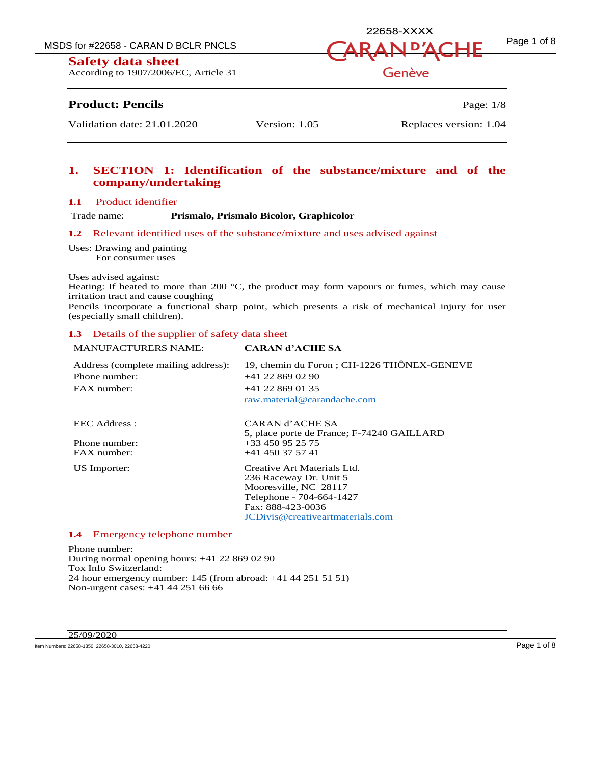MSDS for #22658 - CARAN D BCLR PNCLS  $\overline{A}$   $\overline{A}$   $\overline{B}$   $\overline{A}$   $\overline{D}$   $\overline{A}$   $\overline{C}$   $\overline{H}$   $\overline{F}$   $\overline{P}$   $\overline{P}$   $\overline{P}$   $\overline{P}$   $\overline{P}$   $\overline{P}$   $\overline{P}$   $\overline{P}$   $\overline{P}$   $\overline{P}$   $\overline{P}$   $\overline$ 

**Safety data sheet** 

According to 1907/2006/EC, Article 31

# **Product: Pencils** Page: 1/8

Genève

22658-XXXX

Validation date: 21.01.2020 Version: 1.05 Replaces version: 1.04

# **1. SECTION 1: Identification of the substance/mixture and of the company/undertaking**

### **1.1** Product identifier

Trade name: **Prismalo, Prismalo Bicolor, Graphicolor**

### **1.2** Relevant identified uses of the substance/mixture and uses advised against

Uses: Drawing and painting

For consumer uses

#### Uses advised against:

Heating: If heated to more than 200 °C, the product may form vapours or fumes, which may cause irritation tract and cause coughing

Pencils incorporate a functional sharp point, which presents a risk of mechanical injury for user (especially small children).

### **1.3** Details of the supplier of safety data sheet

| <b>MANUFACTURERS NAME:</b>          | <b>CARAN d'ACHE SA</b>                      |
|-------------------------------------|---------------------------------------------|
| Address (complete mailing address): | 19, chemin du Foron ; CH-1226 THÔNEX-GENEVE |
| Phone number:                       | $+41$ 22 869 02 90                          |
| FAX number:                         | $+41$ 22 869 01 35                          |
|                                     | raw.material@carandache.com                 |
| EEC Address :                       | CARAN d'ACHE SA                             |
|                                     | 5, place porte de France; F-74240 GAILLARD  |
| Phone number:                       | $+33450952575$                              |
| FAX number:                         | $+41$ 450 37 57 41                          |
| US Importer:                        | Creative Art Materials Ltd.                 |
|                                     | 236 Raceway Dr. Unit 5                      |
|                                     | Mooresville, NC 28117                       |
|                                     | Telephone - 704-664-1427                    |
|                                     | Fax: 888-423-0036                           |
|                                     | JCDivis@creativeartmaterials.com            |

### **1.4** Emergency telephone number

Phone number: During normal opening hours: +41 22 869 02 90 Tox Info Switzerland: 24 hour emergency number: 145 (from abroad: +41 44 251 51 51) Non-urgent cases: +41 44 251 66 66

#### 25/09/2020

Item Numbers: 22658-1350, 22658-3010, 22658-4220 **Page 1 of 8**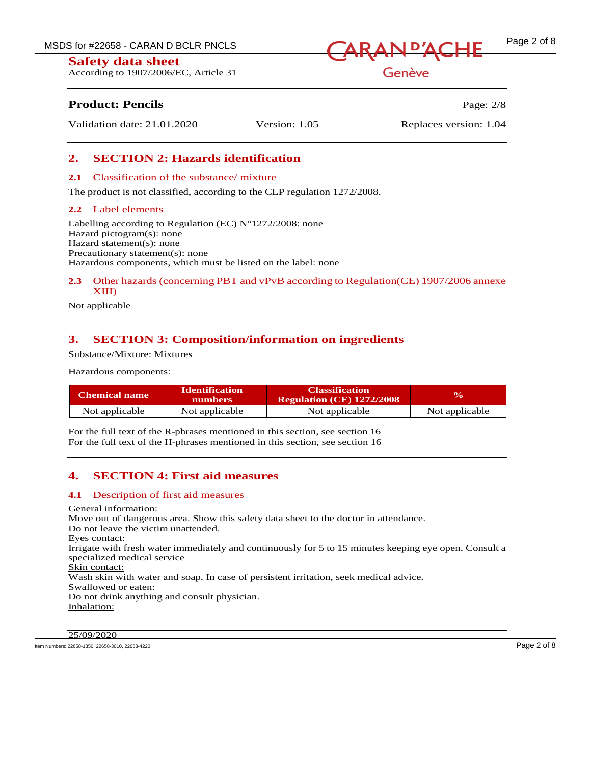According to 1907/2006/EC, Article 31



Genève

# **Product: Pencils Page: 2/8**

Validation date: 21.01.2020 Version: 1.05 Replaces version: 1.04

# **2. SECTION 2: Hazards identification**

### **2.1** Classification of the substance/ mixture

The product is not classified, according to the CLP regulation 1272/2008.

### **2.2** Label elements

Labelling according to Regulation (EC)  $N^{\circ}1272/2008$ : none Hazard pictogram(s): none Hazard statement(s): none Precautionary statement(s): none Hazardous components, which must be listed on the label: none

## **2.3** Other hazards (concerning PBT and vPvB according to Regulation(CE) 1907/2006 annexe XIII)

Not applicable

# **3. SECTION 3: Composition/information on ingredients**

Substance/Mixture: Mixtures

Hazardous components:

| <b>Chemical name</b> | <b>Identification</b><br>numbers | <b>Classification</b><br><b>Regulation (CE) 1272/2008</b> | $\mathbf{v}_0$ |
|----------------------|----------------------------------|-----------------------------------------------------------|----------------|
| Not applicable       | Not applicable                   | Not applicable                                            | Not applicable |

For the full text of the R-phrases mentioned in this section, see section 16 For the full text of the H-phrases mentioned in this section, see section 16

# **4. SECTION 4: First aid measures**

### **4.1** Description of first aid measures

General information: Move out of dangerous area. Show this safety data sheet to the doctor in attendance. Do not leave the victim unattended. Eyes contact: Irrigate with fresh water immediately and continuously for 5 to 15 minutes keeping eye open. Consult a specialized medical service Skin contact: Wash skin with water and soap. In case of persistent irritation, seek medical advice. Swallowed or eaten: Do not drink anything and consult physician. Inhalation:

25/09/2020

Item Numbers: 22658-1350, 22658-3010, 22658-4220 **Page 2 of 8**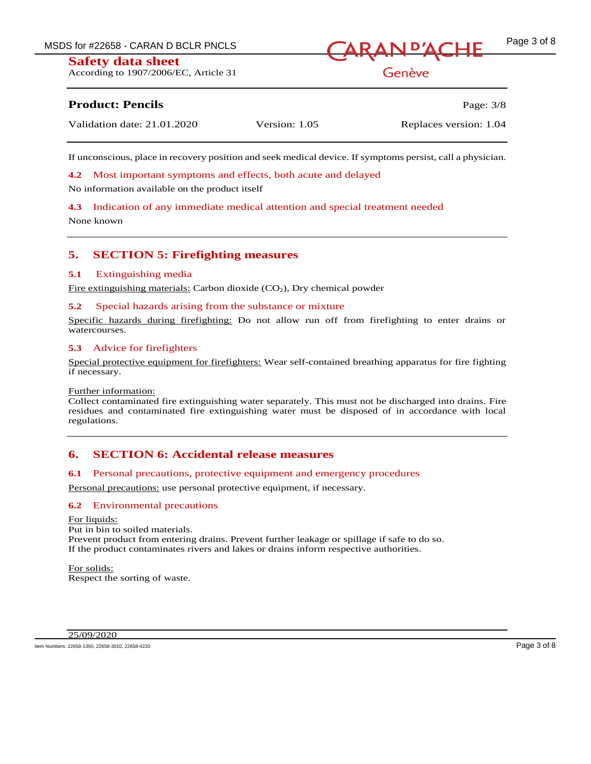According to 1907/2006/EC, Article 31



# Genève

# **Product: Pencils Page: 3/8**

|  | Validation date: 21.01.2020 | Version: 1.05 | Replaces version: 1.04 |
|--|-----------------------------|---------------|------------------------|
|--|-----------------------------|---------------|------------------------|

If unconscious, place in recovery position and seek medical device. If symptoms persist, call a physician.

**4.2** Most important symptoms and effects, both acute and delayed

No information available on the product itself

**4.3** Indication of any immediate medical attention and special treatment needed

None known

# **5. SECTION 5: Firefighting measures**

### **5.1** Extinguishing media

Fire extinguishing materials: Carbon dioxide  $(CO<sub>2</sub>)$ , Dry chemical powder

### **5.2** Special hazards arising from the substance or mixture

Specific hazards during firefighting: Do not allow run off from firefighting to enter drains or watercourses.

### **5.3** Advice for firefighters

Special protective equipment for firefighters: Wear self-contained breathing apparatus for fire fighting if necessary.

### Further information:

Collect contaminated fire extinguishing water separately. This must not be discharged into drains. Fire residues and contaminated fire extinguishing water must be disposed of in accordance with local regulations.

# **6. SECTION 6: Accidental release measures**

### **6.1** Personal precautions, protective equipment and emergency procedures

Personal precautions: use personal protective equipment, if necessary.

# **6.2** Environmental precautions

For liquids: Put in bin to soiled materials. Prevent product from entering drains. Prevent further leakage or spillage if safe to do so. If the product contaminates rivers and lakes or drains inform respective authorities.

For solids: Respect the sorting of waste.

25/09/2020

Item Numbers: 22658-1350, 22658-3010, 22658-4220 **Page 3 of 8**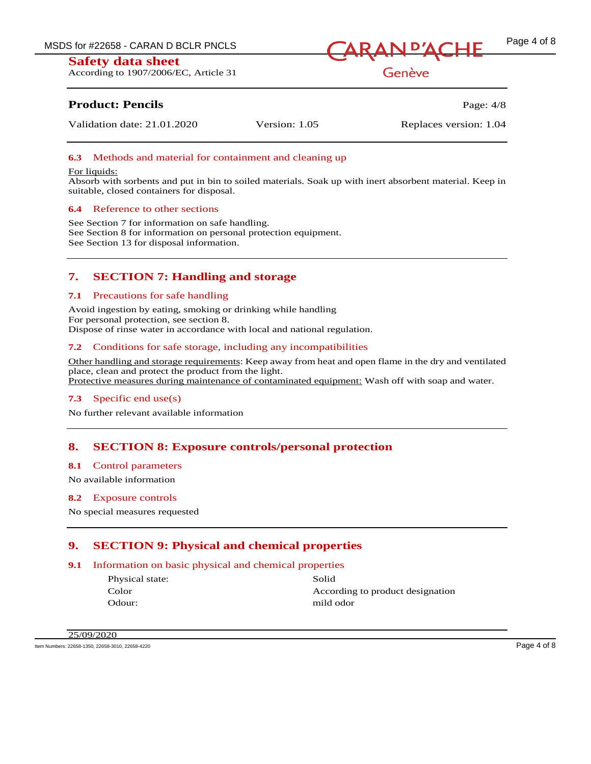According to 1907/2006/EC, Article 31



Genève

# **Product: Pencils Page: 4/8**

Validation date: 21.01.2020 Version: 1.05 Replaces version: 1.04

## **6.3** Methods and material for containment and cleaning up

#### For liquids:

Absorb with sorbents and put in bin to soiled materials. Soak up with inert absorbent material. Keep in suitable, closed containers for disposal.

### **6.4** Reference to other sections

See Section 7 for information on safe handling. See Section 8 for information on personal protection equipment. See Section 13 for disposal information.

# **7. SECTION 7: Handling and storage**

### **7.1** Precautions for safe handling

Avoid ingestion by eating, smoking or drinking while handling For personal protection, see section 8. Dispose of rinse water in accordance with local and national regulation.

### **7.2** Conditions for safe storage, including any incompatibilities

Other handling and storage requirements: Keep away from heat and open flame in the dry and ventilated place, clean and protect the product from the light. Protective measures during maintenance of contaminated equipment: Wash off with soap and water.

# **7.3** Specific end use(s)

No further relevant available information

# **8. SECTION 8: Exposure controls/personal protection**

#### **8.1** Control parameters

No available information

#### **8.2** Exposure controls

No special measures requested

# **9. SECTION 9: Physical and chemical properties**

# **9.1** Information on basic physical and chemical properties

Physical state: Solid Color **According to product designation** Odour: mild odor

25/09/2020

Item Numbers: 22658-1350, 22658-3010, 22658-4220 Page 4 of 8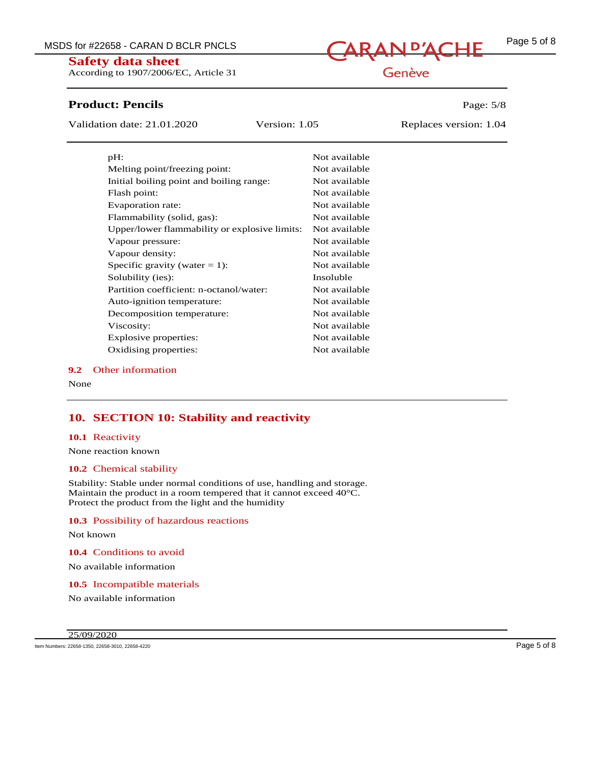**Safety data sheet** According to 1907/2006/EC, Article 31

MSDS for #22658 - CARAN D BCLR PNCLS<br>
CaRAN D'ACHE

# Genève

# **Product: Pencils** Page: 5/8

Validation date: 21.01.2020 Version: 1.05 Replaces version: 1.04

| $pH$ :                                        | Not available |
|-----------------------------------------------|---------------|
| Melting point/freezing point:                 | Not available |
| Initial boiling point and boiling range:      | Not available |
| Flash point:                                  | Not available |
| Evaporation rate:                             | Not available |
| Flammability (solid, gas):                    | Not available |
| Upper/lower flammability or explosive limits: | Not available |
| Vapour pressure:                              | Not available |
| Vapour density:                               | Not available |
| Specific gravity (water = 1):                 | Not available |
| Solubility (ies):                             | Insoluble     |
| Partition coefficient: n-octanol/water:       | Not available |
| Auto-ignition temperature:                    | Not available |
| Decomposition temperature:                    | Not available |
| Viscosity:                                    | Not available |
| Explosive properties:                         | Not available |
| Oxidising properties:                         | Not available |

### **9.2** Other information

None

# **10. SECTION 10: Stability and reactivity**

#### **10.1** Reactivity

None reaction known

#### **10.2** Chemical stability

Stability: Stable under normal conditions of use, handling and storage. Maintain the product in a room tempered that it cannot exceed 40°C. Protect the product from the light and the humidity

#### **10.3** Possibility of hazardous reactions

Not known

**10.4** Conditions to avoid

No available information

**10.5** Incompatible materials

No available information

Item Numbers: 22658-1350, 22658-3010, 22658-4220 Page 5 of 8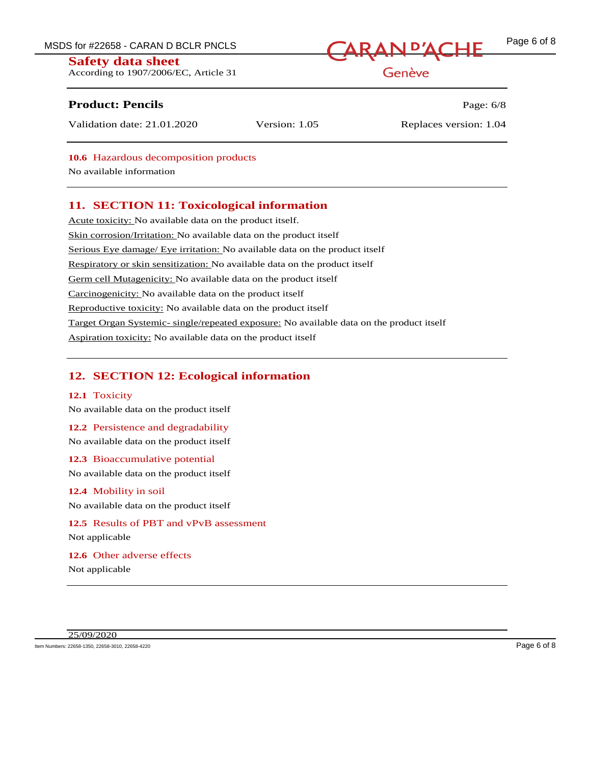According to 1907/2006/EC, Article 31

# **Product: Pencils Page: 6/8**

MSDS for #22658 - CARAN D BCLR PNCLS<br>
Sofoty, data check

Genève

# Validation date: 21.01.2020 Version: 1.05 Replaces version: 1.04

**10.6** Hazardous decomposition products

No available information

# **11. SECTION 11: Toxicological information**

Acute toxicity: No available data on the product itself. Skin corrosion/Irritation: No available data on the product itself Serious Eye damage/ Eye irritation: No available data on the product itself Respiratory or skin sensitization: No available data on the product itself Germ cell Mutagenicity: No available data on the product itself Carcinogenicity: No available data on the product itself Reproductive toxicity: No available data on the product itself Target Organ Systemic- single/repeated exposure: No available data on the product itself Aspiration toxicity: No available data on the product itself

# **12. SECTION 12: Ecological information**

# **12.1** Toxicity

No available data on the product itself

# **12.2** Persistence and degradability

No available data on the product itself

# **12.3** Bioaccumulative potential No available data on the product itself

**12.4** Mobility in soil No available data on the product itself

# **12.5** Results of PBT and vPvB assessment Not applicable

**12.6** Other adverse effects Not applicable

Item Numbers: 22658-1350, 22658-3010, 22658-4220 **Page 6 of 8**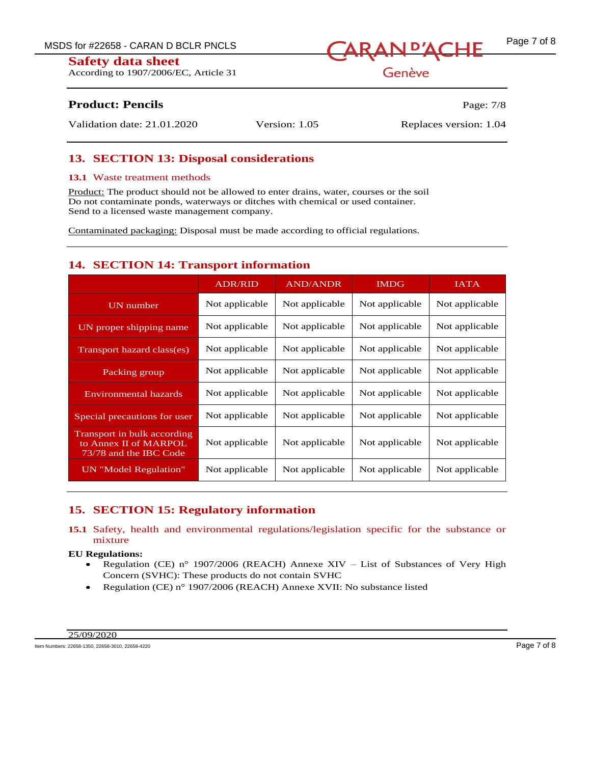According to 1907/2006/EC, Article 31



Genève

# **Product: Pencils** Page: 7/8

Validation date: 21.01.2020 Version: 1.05 Replaces version: 1.04

# **13. SECTION 13: Disposal considerations**

# **13.1** Waste treatment methods

Product: The product should not be allowed to enter drains, water, courses or the soil Do not contaminate ponds, waterways or ditches with chemical or used container. Send to a licensed waste management company.

Contaminated packaging: Disposal must be made according to official regulations.

# **14. SECTION 14: Transport information**

|                                                                                | <b>ADR/RID</b> | <b>AND/ANDR</b> | <b>IMDG</b>    | <b>IATA</b>    |
|--------------------------------------------------------------------------------|----------------|-----------------|----------------|----------------|
| <b>UN</b> number                                                               | Not applicable | Not applicable  | Not applicable | Not applicable |
| UN proper shipping name                                                        | Not applicable | Not applicable  | Not applicable | Not applicable |
| Transport hazard class(es)                                                     | Not applicable | Not applicable  | Not applicable | Not applicable |
| Packing group                                                                  | Not applicable | Not applicable  | Not applicable | Not applicable |
| Environmental hazards                                                          | Not applicable | Not applicable  | Not applicable | Not applicable |
| Special precautions for user                                                   | Not applicable | Not applicable  | Not applicable | Not applicable |
| Transport in bulk according<br>to Annex II of MARPOL<br>73/78 and the IBC Code | Not applicable | Not applicable  | Not applicable | Not applicable |
| UN "Model Regulation"                                                          | Not applicable | Not applicable  | Not applicable | Not applicable |

# **15. SECTION 15: Regulatory information**

# **15.1** Safety, health and environmental regulations/legislation specific for the substance or mixture

### **EU Regulations:**

- Regulation (CE) n° 1907/2006 (REACH) Annexe XIV List of Substances of Very High Concern (SVHC): These products do not contain SVHC
- Regulation (CE) n° 1907/2006 (REACH) Annexe XVII: No substance listed

Item Numbers: 22658-1350, 22658-3010, 22658-4220 Page 7 of 8